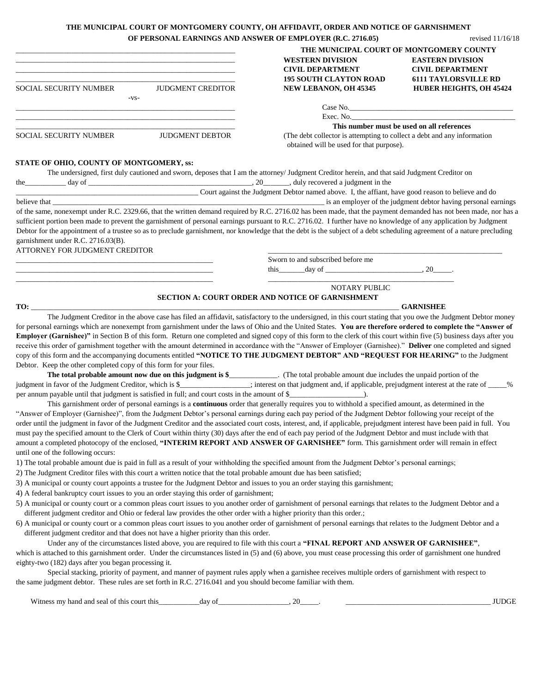## **THE MUNICIPAL COURT OF MONTGOMERY COUNTY, OH AFFIDAVIT, ORDER AND NOTICE OF GARNISHMENT**

|                                                                                                                                                                                                                                                                                                                                       |                          | OF PERSONAL EARNINGS AND ANSWER OF EMPLOYER (R.C. 2716.05)                                                                                                                                                                                                                                                                                                                                                                                                                                                                                                                                                                                                                                                                                                                                                                                                                                                                                                                                                                                                                                                                                                                                                                                                                                                                                                                                                                                                                                                                                                                                                                                                                                                                                                                                                                                                                                                                            | revised 11/16/18                                   |
|---------------------------------------------------------------------------------------------------------------------------------------------------------------------------------------------------------------------------------------------------------------------------------------------------------------------------------------|--------------------------|---------------------------------------------------------------------------------------------------------------------------------------------------------------------------------------------------------------------------------------------------------------------------------------------------------------------------------------------------------------------------------------------------------------------------------------------------------------------------------------------------------------------------------------------------------------------------------------------------------------------------------------------------------------------------------------------------------------------------------------------------------------------------------------------------------------------------------------------------------------------------------------------------------------------------------------------------------------------------------------------------------------------------------------------------------------------------------------------------------------------------------------------------------------------------------------------------------------------------------------------------------------------------------------------------------------------------------------------------------------------------------------------------------------------------------------------------------------------------------------------------------------------------------------------------------------------------------------------------------------------------------------------------------------------------------------------------------------------------------------------------------------------------------------------------------------------------------------------------------------------------------------------------------------------------------------|----------------------------------------------------|
|                                                                                                                                                                                                                                                                                                                                       |                          |                                                                                                                                                                                                                                                                                                                                                                                                                                                                                                                                                                                                                                                                                                                                                                                                                                                                                                                                                                                                                                                                                                                                                                                                                                                                                                                                                                                                                                                                                                                                                                                                                                                                                                                                                                                                                                                                                                                                       | THE MUNICIPAL COURT OF MONTGOMERY COUNTY           |
| <u> 1989 - Johann John Stoff, deutscher Stoffen und der Stoffen und der Stoffen und der Stoffen und der Stoffen</u>                                                                                                                                                                                                                   |                          | <b>WESTERN DIVISION</b><br><b>CIVIL DEPARTMENT</b>                                                                                                                                                                                                                                                                                                                                                                                                                                                                                                                                                                                                                                                                                                                                                                                                                                                                                                                                                                                                                                                                                                                                                                                                                                                                                                                                                                                                                                                                                                                                                                                                                                                                                                                                                                                                                                                                                    | <b>EASTERN DIVISION</b><br><b>CIVIL DEPARTMENT</b> |
|                                                                                                                                                                                                                                                                                                                                       |                          | <b>195 SOUTH CLAYTON ROAD</b>                                                                                                                                                                                                                                                                                                                                                                                                                                                                                                                                                                                                                                                                                                                                                                                                                                                                                                                                                                                                                                                                                                                                                                                                                                                                                                                                                                                                                                                                                                                                                                                                                                                                                                                                                                                                                                                                                                         | <b>6111 TAYLORSVILLE RD</b>                        |
| SOCIAL SECURITY NUMBER<br>$-VS-$                                                                                                                                                                                                                                                                                                      | <b>JUDGMENT CREDITOR</b> | NEW LEBANON, OH 45345                                                                                                                                                                                                                                                                                                                                                                                                                                                                                                                                                                                                                                                                                                                                                                                                                                                                                                                                                                                                                                                                                                                                                                                                                                                                                                                                                                                                                                                                                                                                                                                                                                                                                                                                                                                                                                                                                                                 | HUBER HEIGHTS, OH 45424                            |
|                                                                                                                                                                                                                                                                                                                                       |                          |                                                                                                                                                                                                                                                                                                                                                                                                                                                                                                                                                                                                                                                                                                                                                                                                                                                                                                                                                                                                                                                                                                                                                                                                                                                                                                                                                                                                                                                                                                                                                                                                                                                                                                                                                                                                                                                                                                                                       |                                                    |
|                                                                                                                                                                                                                                                                                                                                       |                          |                                                                                                                                                                                                                                                                                                                                                                                                                                                                                                                                                                                                                                                                                                                                                                                                                                                                                                                                                                                                                                                                                                                                                                                                                                                                                                                                                                                                                                                                                                                                                                                                                                                                                                                                                                                                                                                                                                                                       |                                                    |
| SOCIAL SECURITY NUMBER JUDGMENT DEBTOR                                                                                                                                                                                                                                                                                                |                          | This number must be used on all references<br>(The debt collector is attempting to collect a debt and any information)<br>obtained will be used for that purpose).                                                                                                                                                                                                                                                                                                                                                                                                                                                                                                                                                                                                                                                                                                                                                                                                                                                                                                                                                                                                                                                                                                                                                                                                                                                                                                                                                                                                                                                                                                                                                                                                                                                                                                                                                                    |                                                    |
| STATE OF OHIO, COUNTY OF MONTGOMERY, ss:                                                                                                                                                                                                                                                                                              |                          | The undersigned, first duly cautioned and sworn, deposes that I am the attorney/ Judgment Creditor herein, and that said Judgment Creditor on                                                                                                                                                                                                                                                                                                                                                                                                                                                                                                                                                                                                                                                                                                                                                                                                                                                                                                                                                                                                                                                                                                                                                                                                                                                                                                                                                                                                                                                                                                                                                                                                                                                                                                                                                                                         |                                                    |
|                                                                                                                                                                                                                                                                                                                                       |                          |                                                                                                                                                                                                                                                                                                                                                                                                                                                                                                                                                                                                                                                                                                                                                                                                                                                                                                                                                                                                                                                                                                                                                                                                                                                                                                                                                                                                                                                                                                                                                                                                                                                                                                                                                                                                                                                                                                                                       |                                                    |
|                                                                                                                                                                                                                                                                                                                                       |                          |                                                                                                                                                                                                                                                                                                                                                                                                                                                                                                                                                                                                                                                                                                                                                                                                                                                                                                                                                                                                                                                                                                                                                                                                                                                                                                                                                                                                                                                                                                                                                                                                                                                                                                                                                                                                                                                                                                                                       |                                                    |
|                                                                                                                                                                                                                                                                                                                                       |                          | of the same, nonexempt under R.C. 2329.66, that the written demand required by R.C. 2716.02 has been made, that the payment demanded has not been made, nor has a                                                                                                                                                                                                                                                                                                                                                                                                                                                                                                                                                                                                                                                                                                                                                                                                                                                                                                                                                                                                                                                                                                                                                                                                                                                                                                                                                                                                                                                                                                                                                                                                                                                                                                                                                                     |                                                    |
| garnishment under R.C. 2716.03(B).<br>ATTORNEY FOR JUDGMENT CREDITOR                                                                                                                                                                                                                                                                  |                          | sufficient portion been made to prevent the garnishment of personal earnings pursuant to R.C. 2716.02. I further have no knowledge of any application by Judgment<br>Debtor for the appointment of a trustee so as to preclude garnishment, nor knowledge that the debt is the subject of a debt scheduling agreement of a nature precluding                                                                                                                                                                                                                                                                                                                                                                                                                                                                                                                                                                                                                                                                                                                                                                                                                                                                                                                                                                                                                                                                                                                                                                                                                                                                                                                                                                                                                                                                                                                                                                                          |                                                    |
|                                                                                                                                                                                                                                                                                                                                       |                          | Sworn to and subscribed before me                                                                                                                                                                                                                                                                                                                                                                                                                                                                                                                                                                                                                                                                                                                                                                                                                                                                                                                                                                                                                                                                                                                                                                                                                                                                                                                                                                                                                                                                                                                                                                                                                                                                                                                                                                                                                                                                                                     |                                                    |
|                                                                                                                                                                                                                                                                                                                                       |                          | this $\_\_$ day of $\_\_$ .                                                                                                                                                                                                                                                                                                                                                                                                                                                                                                                                                                                                                                                                                                                                                                                                                                                                                                                                                                                                                                                                                                                                                                                                                                                                                                                                                                                                                                                                                                                                                                                                                                                                                                                                                                                                                                                                                                           |                                                    |
| Debtor. Keep the other completed copy of this form for your files.<br>per annum payable until that judgment is satisfied in full; and court costs in the amount of \$<br>until one of the following occurs:<br>2) The Judgment Creditor files with this court a written notice that the total probable amount due has been satisfied; |                          | for personal earnings which are nonexempt from garnishment under the laws of Ohio and the United States. You are therefore ordered to complete the "Answer of<br>Employer (Garnishee)" in Section B of this form. Return one completed and signed copy of this form to the clerk of this court within five (5) business days after you<br>receive this order of garnishment together with the amount determined in accordance with the "Answer of Employer (Garnishee)." Deliver one completed and signed<br>copy of this form and the accompanying documents entitled "NOTICE TO THE JUDGMENT DEBTOR" AND "REQUEST FOR HEARING" to the Judgment<br>The total probable amount now due on this judgment is \$____________. (The total probable amount due includes the unpaid portion of the<br>judgment in favor of the Judgment Creditor, which is \$_____________; interest on that judgment and, if applicable, prejudgment interest at the rate of _____ %<br>This garnishment order of personal earnings is a continuous order that generally requires you to withhold a specified amount, as determined in the<br>"Answer of Employer (Garnishee)", from the Judgment Debtor's personal earnings during each pay period of the Judgment Debtor following your receipt of the<br>order until the judgment in favor of the Judgment Creditor and the associated court costs, interest, and, if applicable, prejudgment interest have been paid in full. You<br>must pay the specified amount to the Clerk of Court within thirty (30) days after the end of each pay period of the Judgment Debtor and must include with that<br>amount a completed photocopy of the enclosed, "INTERIM REPORT AND ANSWER OF GARNISHEE" form. This garnishment order will remain in effect<br>1) The total probable amount due is paid in full as a result of your withholding the specified amount from the Judgment Debtor's personal earnings; |                                                    |
| 4) A federal bankruptcy court issues to you an order staying this order of garnishment;                                                                                                                                                                                                                                               |                          | 3) A municipal or county court appoints a trustee for the Judgment Debtor and issues to you an order staying this garnishment;                                                                                                                                                                                                                                                                                                                                                                                                                                                                                                                                                                                                                                                                                                                                                                                                                                                                                                                                                                                                                                                                                                                                                                                                                                                                                                                                                                                                                                                                                                                                                                                                                                                                                                                                                                                                        |                                                    |
| different judgment creditor and Ohio or federal law provides the other order with a higher priority than this order.;                                                                                                                                                                                                                 |                          | 5) A municipal or county court or a common pleas court issues to you another order of garnishment of personal earnings that relates to the Judgment Debtor and a                                                                                                                                                                                                                                                                                                                                                                                                                                                                                                                                                                                                                                                                                                                                                                                                                                                                                                                                                                                                                                                                                                                                                                                                                                                                                                                                                                                                                                                                                                                                                                                                                                                                                                                                                                      |                                                    |
| different judgment creditor and that does not have a higher priority than this order.<br>eighty-two (182) days after you began processing it.<br>the same judgment debtor. These rules are set forth in R.C. 2716.041 and you should become familiar with them.                                                                       |                          | 6) A municipal or county court or a common pleas court issues to you another order of garnishment of personal earnings that relates to the Judgment Debtor and a<br>Under any of the circumstances listed above, you are required to file with this court a "FINAL REPORT AND ANSWER OF GARNISHEE",<br>which is attached to this garnishment order. Under the circumstances listed in (5) and (6) above, you must cease processing this order of garnishment one hundred<br>Special stacking, priority of payment, and manner of payment rules apply when a garnishee receives multiple orders of garnishment with respect to                                                                                                                                                                                                                                                                                                                                                                                                                                                                                                                                                                                                                                                                                                                                                                                                                                                                                                                                                                                                                                                                                                                                                                                                                                                                                                         |                                                    |
|                                                                                                                                                                                                                                                                                                                                       |                          |                                                                                                                                                                                                                                                                                                                                                                                                                                                                                                                                                                                                                                                                                                                                                                                                                                                                                                                                                                                                                                                                                                                                                                                                                                                                                                                                                                                                                                                                                                                                                                                                                                                                                                                                                                                                                                                                                                                                       | <b>JUDGE</b>                                       |